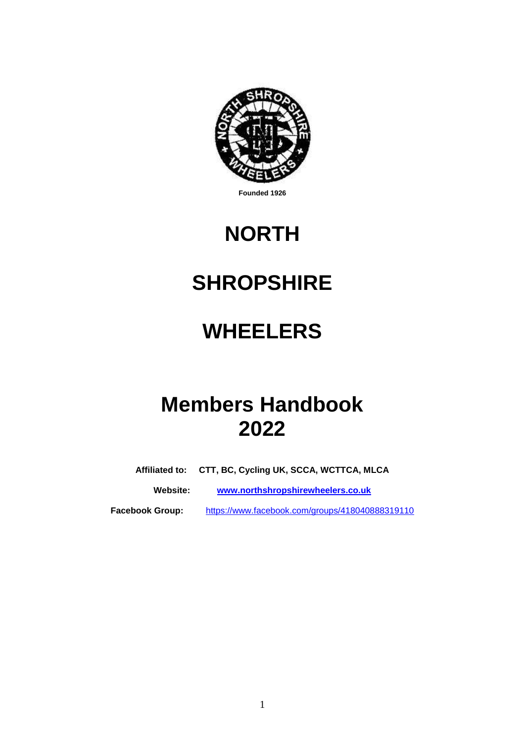

**Founded 1926**

# **NORTH**

# **SHROPSHIRE**

# **WHEELERS**

# **Members Handbook 2022**

**Affiliated to: CTT, BC, Cycling UK, SCCA, WCTTCA, MLCA**

**Website: [www.northshropshirewheelers.co.uk](http://www.northshropshirewheelers.co.uk/)**

**Facebook Group:** <https://www.facebook.com/groups/418040888319110>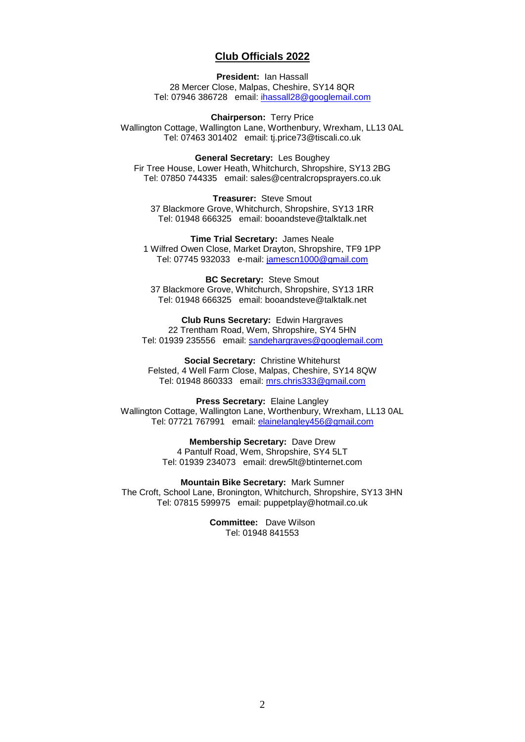### **Club Officials 2022**

#### **President:** Ian Hassall

28 Mercer Close, Malpas, Cheshire, SY14 8QR Tel: 07946 386728 email: [ihassall28@googlemail.com](mailto:ihassall28@googlemail.com)

**Chairperson:** Terry Price Wallington Cottage, Wallington Lane, Worthenbury, Wrexham, LL13 0AL Tel: 07463 301402 email: tj.price73@tiscali.co.uk

**General Secretary:** Les Boughey Fir Tree House, Lower Heath, Whitchurch, Shropshire, SY13 2BG Tel: 07850 744335 email: sales@centralcropsprayers.co.uk

**Treasurer:** Steve Smout 37 Blackmore Grove, Whitchurch, Shropshire, SY13 1RR Tel: 01948 666325 email: booandsteve@talktalk.net

**Time Trial Secretary:** James Neale 1 Wilfred Owen Close, Market Drayton, Shropshire, TF9 1PP Tel: 07745 932033 e-mail: [jamescn1000@gmail.com](mailto:jamescn1000@gmail.com)

**BC Secretary:** Steve Smout 37 Blackmore Grove, Whitchurch, Shropshire, SY13 1RR Tel: 01948 666325 email: booandsteve@talktalk.net

**Club Runs Secretary:** Edwin Hargraves 22 Trentham Road, Wem, Shropshire, SY4 5HN Tel: 01939 235556 email: sandehargraves@googlemail.com

**Social Secretary:** Christine Whitehurst Felsted, 4 Well Farm Close, Malpas, Cheshire, SY14 8QW Tel: 01948 860333 email: [mrs.chris333@gmail.com](mailto:mrs.chris333@gmail.com)

**Press Secretary:** Elaine Langley Wallington Cottage, Wallington Lane, Worthenbury, Wrexham, LL13 0AL Tel: 07721 767991 email: elainelangley456@gmail.com

> **Membership Secretary:** Dave Drew 4 Pantulf Road, Wem, Shropshire, SY4 5LT Tel: 01939 234073 email: drew5lt@btinternet.com

**Mountain Bike Secretary:** Mark Sumner The Croft, School Lane, Bronington, Whitchurch, Shropshire, SY13 3HN Tel: 07815 599975 email: puppetplay@hotmail.co.uk

> **Committee:** Dave Wilson Tel: 01948 841553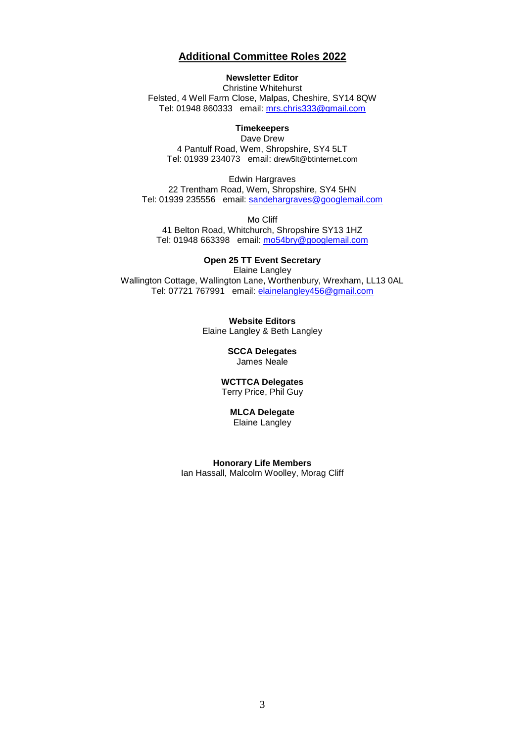#### **Additional Committee Roles 2022**

#### **Newsletter Editor**

Christine Whitehurst Felsted, 4 Well Farm Close, Malpas, Cheshire, SY14 8QW Tel: 01948 860333 email: [mrs.chris333@gmail.com](file:///C:/Users/Morag/AppData/Local/Packages/microsoft.windowscommunicationsapps_8wekyb3d8bbwe/LocalState/LiveComm/f62dc6ecf2c592fe/120712-0049/Att/20000131/mrs.chris333@gmail.com)

#### **Timekeepers**

Dave Drew 4 Pantulf Road, Wem, Shropshire, SY4 5LT Tel: 01939 234073 email: drew5lt@btinternet.com

Edwin Hargraves 22 Trentham Road, Wem, Shropshire, SY4 5HN Tel: 01939 235556 email: sandehargraves@googlemail.com

Mo Cliff

41 Belton Road, Whitchurch, Shropshire SY13 1HZ Tel: 01948 663398 email: [mo54bry@googlemail.com](mailto:mo54bry@googlemail.com)

#### **Open 25 TT Event Secretary**

Elaine Langley Wallington Cottage, Wallington Lane, Worthenbury, Wrexham, LL13 0AL Tel: 07721 767991 email: elainelangley456@gmail.com

> **Website Editors** Elaine Langley & Beth Langley

> > **SCCA Delegates** James Neale

**WCTTCA Delegates** Terry Price, Phil Guy

#### **MLCA Delegate**

Elaine Langley

**Honorary Life Members** Ian Hassall, Malcolm Woolley, Morag Cliff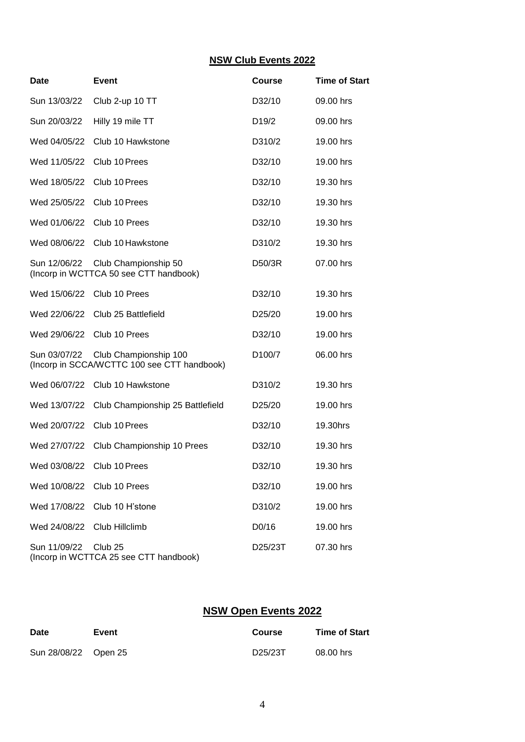#### **NSW Club Events 2022**

| <b>Date</b>  | <b>Event</b>                                                                      | <b>Course</b>       | <b>Time of Start</b> |
|--------------|-----------------------------------------------------------------------------------|---------------------|----------------------|
| Sun 13/03/22 | Club 2-up 10 TT                                                                   | D32/10              | 09.00 hrs            |
| Sun 20/03/22 | Hilly 19 mile TT                                                                  | D <sub>19</sub> /2  | 09.00 hrs            |
| Wed 04/05/22 | Club 10 Hawkstone                                                                 | D310/2              | 19.00 hrs            |
| Wed 11/05/22 | Club 10 Prees                                                                     | D32/10              | 19.00 hrs            |
| Wed 18/05/22 | Club 10 Prees                                                                     | D32/10              | 19.30 hrs            |
| Wed 25/05/22 | Club 10 Prees                                                                     | D32/10              | 19.30 hrs            |
| Wed 01/06/22 | Club 10 Prees                                                                     | D32/10              | 19.30 hrs            |
| Wed 08/06/22 | Club 10 Hawkstone                                                                 | D310/2              | 19.30 hrs            |
| Sun 12/06/22 | Club Championship 50<br>(Incorp in WCTTCA 50 see CTT handbook)                    | D50/3R              | 07.00 hrs            |
| Wed 15/06/22 | Club 10 Prees                                                                     | D32/10              | 19.30 hrs            |
| Wed 22/06/22 | Club 25 Battlefield                                                               | D25/20              | 19.00 hrs            |
| Wed 29/06/22 | Club 10 Prees                                                                     | D32/10              | 19.00 hrs            |
|              | Sun 03/07/22 Club Championship 100<br>(Incorp in SCCA/WCTTC 100 see CTT handbook) | D <sub>100</sub> /7 | 06.00 hrs            |
| Wed 06/07/22 | Club 10 Hawkstone                                                                 | D310/2              | 19.30 hrs            |
| Wed 13/07/22 | Club Championship 25 Battlefield                                                  | D <sub>25</sub> /20 | 19.00 hrs            |
| Wed 20/07/22 | Club 10 Prees                                                                     | D32/10              | 19.30hrs             |
| Wed 27/07/22 | Club Championship 10 Prees                                                        | D32/10              | 19.30 hrs            |
| Wed 03/08/22 | Club 10 Prees                                                                     | D32/10              | 19.30 hrs            |
|              | Wed 10/08/22 Club 10 Prees                                                        | D32/10              | 19.00 hrs            |
| Wed 17/08/22 | Club 10 H'stone                                                                   | D310/2              | 19.00 hrs            |
| Wed 24/08/22 | Club Hillclimb                                                                    | D0/16               | 19.00 hrs            |
| Sun 11/09/22 | Club <sub>25</sub><br>(Incorp in WCTTCA 25 see CTT handbook)                      | D25/23T             | 07.30 hrs            |

## **NSW Open Events 2022**

| <b>Date</b>          | Event | Course  | <b>Time of Start</b> |
|----------------------|-------|---------|----------------------|
| Sun 28/08/22 Open 25 |       | D25/23T | 08.00 hrs            |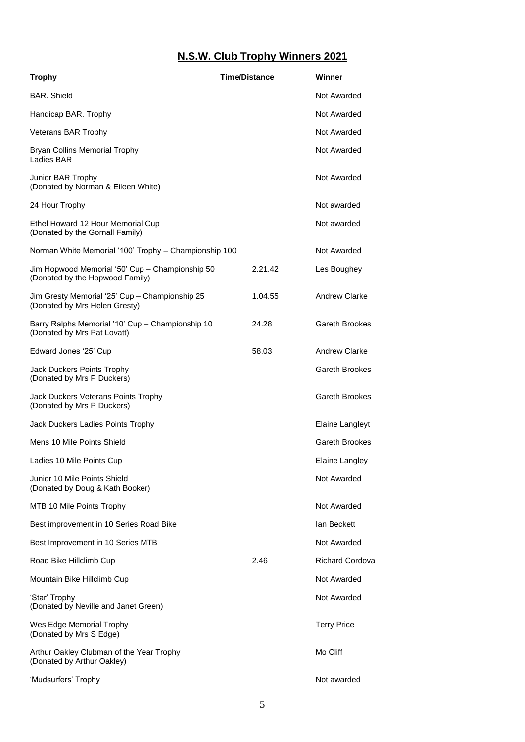# **N.S.W. Club Trophy Winners 2021**

| <b>Trophy</b>                                                                      | <b>Time/Distance</b> | Winner                 |
|------------------------------------------------------------------------------------|----------------------|------------------------|
| <b>BAR.</b> Shield                                                                 |                      | Not Awarded            |
| Handicap BAR. Trophy                                                               |                      | Not Awarded            |
| <b>Veterans BAR Trophy</b>                                                         |                      | Not Awarded            |
| Bryan Collins Memorial Trophy<br>Ladies BAR                                        |                      | Not Awarded            |
| Junior BAR Trophy<br>(Donated by Norman & Eileen White)                            |                      | Not Awarded            |
| 24 Hour Trophy                                                                     |                      | Not awarded            |
| Ethel Howard 12 Hour Memorial Cup<br>(Donated by the Gornall Family)               |                      | Not awarded            |
| Norman White Memorial '100' Trophy - Championship 100                              |                      | Not Awarded            |
| Jim Hopwood Memorial '50' Cup - Championship 50<br>(Donated by the Hopwood Family) | 2.21.42              | Les Boughey            |
| Jim Gresty Memorial '25' Cup - Championship 25<br>(Donated by Mrs Helen Gresty)    | 1.04.55              | <b>Andrew Clarke</b>   |
| Barry Ralphs Memorial '10' Cup - Championship 10<br>(Donated by Mrs Pat Lovatt)    | 24.28                | Gareth Brookes         |
| Edward Jones '25' Cup                                                              | 58.03                | <b>Andrew Clarke</b>   |
| Jack Duckers Points Trophy<br>(Donated by Mrs P Duckers)                           |                      | <b>Gareth Brookes</b>  |
| Jack Duckers Veterans Points Trophy<br>(Donated by Mrs P Duckers)                  |                      | <b>Gareth Brookes</b>  |
| Jack Duckers Ladies Points Trophy                                                  |                      | Elaine Langleyt        |
| Mens 10 Mile Points Shield                                                         |                      | Gareth Brookes         |
| Ladies 10 Mile Points Cup                                                          |                      | Elaine Langley         |
| Junior 10 Mile Points Shield<br>(Donated by Doug & Kath Booker)                    |                      | Not Awarded            |
| MTB 10 Mile Points Trophy                                                          |                      | Not Awarded            |
| Best improvement in 10 Series Road Bike                                            |                      | lan Beckett            |
| Best Improvement in 10 Series MTB                                                  |                      | Not Awarded            |
| Road Bike Hillclimb Cup                                                            | 2.46                 | <b>Richard Cordova</b> |
| Mountain Bike Hillclimb Cup                                                        |                      | Not Awarded            |
| 'Star' Trophy<br>(Donated by Neville and Janet Green)                              |                      | Not Awarded            |
| Wes Edge Memorial Trophy<br>(Donated by Mrs S Edge)                                |                      | <b>Terry Price</b>     |
| Arthur Oakley Clubman of the Year Trophy<br>(Donated by Arthur Oakley)             |                      | Mo Cliff               |
| 'Mudsurfers' Trophy                                                                |                      | Not awarded            |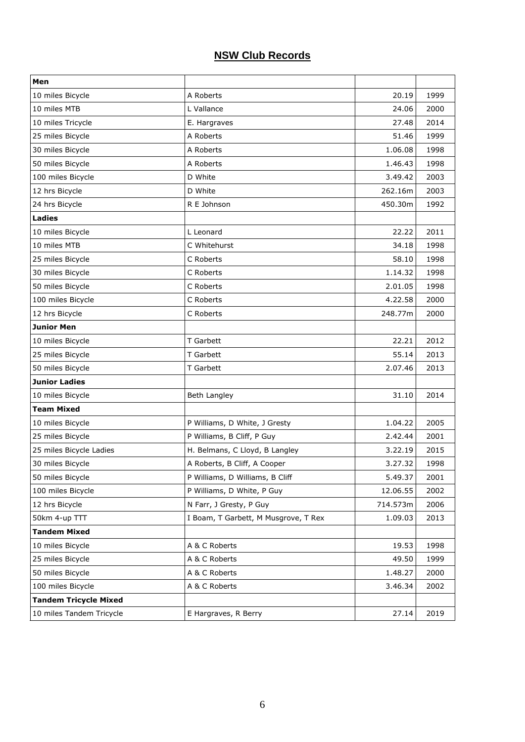# **NSW Club Records**

| Men                          |                                      |          |      |
|------------------------------|--------------------------------------|----------|------|
| 10 miles Bicycle             | A Roberts                            | 20.19    | 1999 |
| 10 miles MTB                 | L Vallance                           | 24.06    | 2000 |
| 10 miles Tricycle            | E. Hargraves                         | 27.48    | 2014 |
| 25 miles Bicycle             | A Roberts                            | 51.46    | 1999 |
| 30 miles Bicycle             | A Roberts                            | 1.06.08  | 1998 |
| 50 miles Bicycle             | A Roberts                            | 1.46.43  | 1998 |
| 100 miles Bicycle            | D White                              | 3.49.42  | 2003 |
| 12 hrs Bicycle               | D White                              | 262.16m  | 2003 |
| 24 hrs Bicycle               | R E Johnson                          | 450.30m  | 1992 |
| <b>Ladies</b>                |                                      |          |      |
| 10 miles Bicycle             | L Leonard                            | 22.22    | 2011 |
| 10 miles MTB                 | C Whitehurst                         | 34.18    | 1998 |
| 25 miles Bicycle             | C Roberts                            | 58.10    | 1998 |
| 30 miles Bicycle             | C Roberts                            | 1.14.32  | 1998 |
| 50 miles Bicycle             | C Roberts                            | 2.01.05  | 1998 |
| 100 miles Bicycle            | C Roberts                            | 4.22.58  | 2000 |
| 12 hrs Bicycle               | C Roberts                            | 248.77m  | 2000 |
| <b>Junior Men</b>            |                                      |          |      |
| 10 miles Bicycle             | T Garbett                            | 22.21    | 2012 |
| 25 miles Bicycle             | T Garbett                            | 55.14    | 2013 |
| 50 miles Bicycle             | T Garbett                            | 2.07.46  | 2013 |
| <b>Junior Ladies</b>         |                                      |          |      |
| 10 miles Bicycle             | Beth Langley                         | 31.10    | 2014 |
| <b>Team Mixed</b>            |                                      |          |      |
| 10 miles Bicycle             | P Williams, D White, J Gresty        | 1.04.22  | 2005 |
| 25 miles Bicycle             | P Williams, B Cliff, P Guy           | 2.42.44  | 2001 |
| 25 miles Bicycle Ladies      | H. Belmans, C Lloyd, B Langley       | 3.22.19  | 2015 |
| 30 miles Bicycle             | A Roberts, B Cliff, A Cooper         | 3.27.32  | 1998 |
| 50 miles Bicycle             | P Williams, D Williams, B Cliff      | 5.49.37  | 2001 |
| 100 miles Bicycle            | P Williams, D White, P Guy           | 12.06.55 | 2002 |
| 12 hrs Bicycle               | N Farr, J Gresty, P Guy              | 714.573m | 2006 |
| 50km 4-up TTT                | I Boam, T Garbett, M Musgrove, T Rex | 1.09.03  | 2013 |
| <b>Tandem Mixed</b>          |                                      |          |      |
| 10 miles Bicycle             | A & C Roberts                        | 19.53    | 1998 |
| 25 miles Bicycle             | A & C Roberts                        | 49.50    | 1999 |
| 50 miles Bicycle             | A & C Roberts                        | 1.48.27  | 2000 |
| 100 miles Bicycle            | A & C Roberts                        | 3.46.34  | 2002 |
| <b>Tandem Tricycle Mixed</b> |                                      |          |      |
| 10 miles Tandem Tricycle     | E Hargraves, R Berry                 | 27.14    | 2019 |